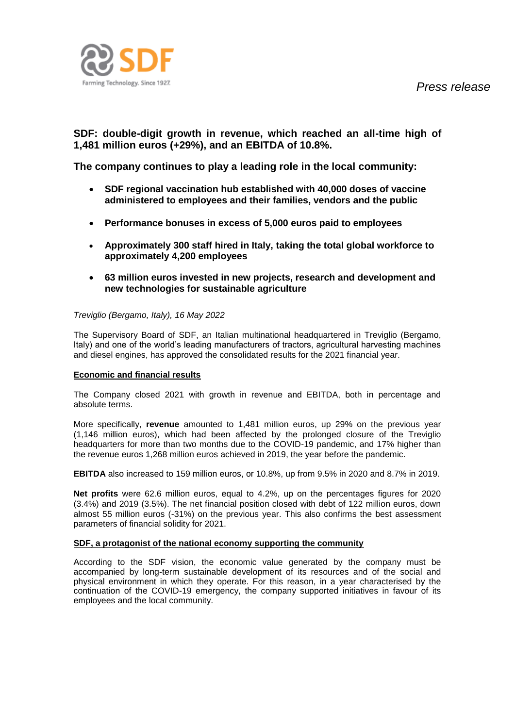

# **SDF: double-digit growth in revenue, which reached an all-time high of 1,481 million euros (+29%), and an EBITDA of 10.8%.**

**The company continues to play a leading role in the local community:**

- **SDF regional vaccination hub established with 40,000 doses of vaccine administered to employees and their families, vendors and the public**
- **Performance bonuses in excess of 5,000 euros paid to employees**
- **Approximately 300 staff hired in Italy, taking the total global workforce to approximately 4,200 employees**
- **63 million euros invested in new projects, research and development and new technologies for sustainable agriculture**

### *Treviglio (Bergamo, Italy), 16 May 2022*

The Supervisory Board of SDF, an Italian multinational headquartered in Treviglio (Bergamo, Italy) and one of the world's leading manufacturers of tractors, agricultural harvesting machines and diesel engines, has approved the consolidated results for the 2021 financial year.

## **Economic and financial results**

The Company closed 2021 with growth in revenue and EBITDA, both in percentage and absolute terms.

More specifically, **revenue** amounted to 1,481 million euros, up 29% on the previous year (1,146 million euros), which had been affected by the prolonged closure of the Treviglio headquarters for more than two months due to the COVID-19 pandemic, and 17% higher than the revenue euros 1,268 million euros achieved in 2019, the year before the pandemic.

**EBITDA** also increased to 159 million euros, or 10.8%, up from 9.5% in 2020 and 8.7% in 2019.

**Net profits** were 62.6 million euros, equal to 4.2%, up on the percentages figures for 2020 (3.4%) and 2019 (3.5%). The net financial position closed with debt of 122 million euros, down almost 55 million euros (-31%) on the previous year. This also confirms the best assessment parameters of financial solidity for 2021.

#### **SDF, a protagonist of the national economy supporting the community**

According to the SDF vision, the economic value generated by the company must be accompanied by long-term sustainable development of its resources and of the social and physical environment in which they operate. For this reason, in a year characterised by the continuation of the COVID-19 emergency, the company supported initiatives in favour of its employees and the local community.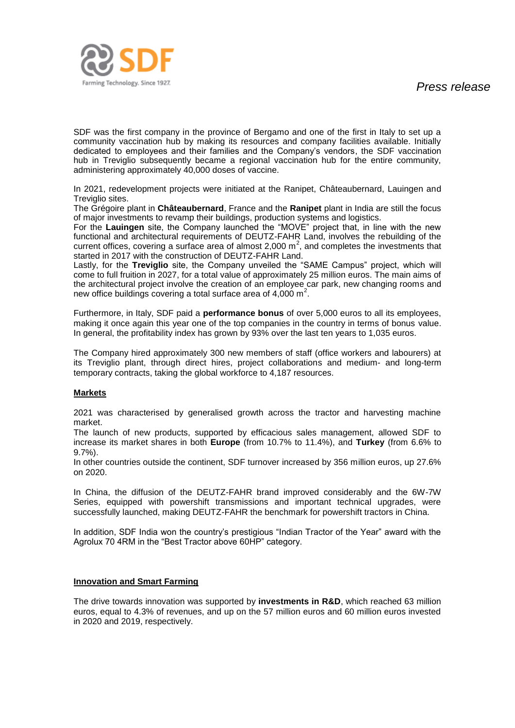

SDF was the first company in the province of Bergamo and one of the first in Italy to set up a community vaccination hub by making its resources and company facilities available. Initially dedicated to employees and their families and the Company's vendors, the SDF vaccination hub in Treviglio subsequently became a regional vaccination hub for the entire community, administering approximately 40,000 doses of vaccine.

In 2021, redevelopment projects were initiated at the Ranipet, Châteaubernard, Lauingen and Treviglio sites.

The Grégoire plant in **Châteaubernard**, France and the **Ranipet** plant in India are still the focus of major investments to revamp their buildings, production systems and logistics.

For the **Lauingen** site, the Company launched the "MOVE" project that, in line with the new functional and architectural requirements of DEUTZ-FAHR Land, involves the rebuilding of the current offices, covering a surface area of almost 2,000  $m^2$ , and completes the investments that started in 2017 with the construction of DEUTZ-FAHR Land.

Lastly, for the **Treviglio** site, the Company unveiled the "SAME Campus" project, which will come to full fruition in 2027, for a total value of approximately 25 million euros. The main aims of the architectural project involve the creation of an employee car park, new changing rooms and new office buildings covering a total surface area of  $4,000 \text{ m}^2$ .

Furthermore, in Italy, SDF paid a **performance bonus** of over 5,000 euros to all its employees, making it once again this year one of the top companies in the country in terms of bonus value. In general, the profitability index has grown by 93% over the last ten years to 1,035 euros.

The Company hired approximately 300 new members of staff (office workers and labourers) at its Treviglio plant, through direct hires, project collaborations and medium- and long-term temporary contracts, taking the global workforce to 4,187 resources.

# **Markets**

2021 was characterised by generalised growth across the tractor and harvesting machine market.

The launch of new products, supported by efficacious sales management, allowed SDF to increase its market shares in both **Europe** (from 10.7% to 11.4%), and **Turkey** (from 6.6% to 9.7%).

In other countries outside the continent, SDF turnover increased by 356 million euros, up 27.6% on 2020.

In China, the diffusion of the DEUTZ-FAHR brand improved considerably and the 6W-7W Series, equipped with powershift transmissions and important technical upgrades, were successfully launched, making DEUTZ-FAHR the benchmark for powershift tractors in China.

In addition, SDF India won the country's prestigious "Indian Tractor of the Year" award with the Agrolux 70 4RM in the "Best Tractor above 60HP" category.

# **Innovation and Smart Farming**

The drive towards innovation was supported by **investments in R&D**, which reached 63 million euros, equal to 4.3% of revenues, and up on the 57 million euros and 60 million euros invested in 2020 and 2019, respectively.